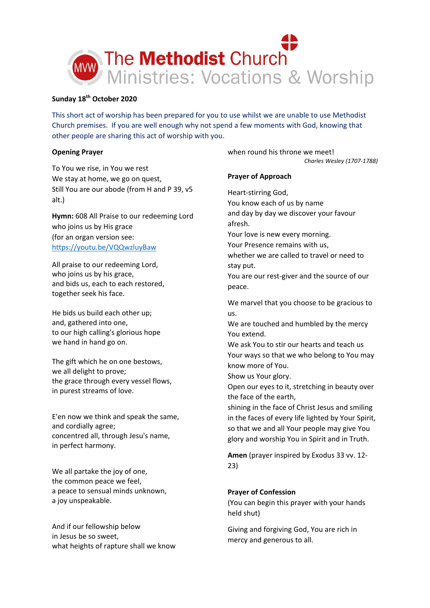

# **Sunday 18th October 2020**

This short act of worship has been prepared for you to use whilst we are unable to use Methodist Church premises. If you are well enough why not spend a few moments with God, knowing that other people are sharing this act of worship with you.

# **Opening Prayer**

To You we rise, in You we rest We stay at home, we go on quest, Still You are our abode (from H and P 39, v5 alt.)

**Hymn:** 608 All Praise to our redeeming Lord who joins us by His grace (for an organ version see: <https://youtu.be/VQQwzluyBaw>

All praise to our redeeming Lord, who joins us by his grace, and bids us, each to each restored, together seek his face.

He bids us build each other up; and, gathered into one, to our high calling's glorious hope we hand in hand go on.

The gift which he on one bestows, we all delight to prove; the grace through every vessel flows, in purest streams of love.

E'en now we think and speak the same, and cordially agree; concentred all, through Jesu's name, in perfect harmony.

We all partake the joy of one, the common peace we feel, a peace to sensual minds unknown, a joy unspeakable.

And if our fellowship below in Jesus be so sweet, what heights of rapture shall we know when round his throne we meet! *Charles Wesley (1707-1788)*

# **Prayer of Approach**

Heart-stirring God, You know each of us by name and day by day we discover your favour afresh. Your love is new every morning. Your Presence remains with us, whether we are called to travel or need to stay put. You are our rest-giver and the source of our peace. We marvel that you choose to be gracious to us. We are touched and humbled by the mercy You extend. We ask You to stir our hearts and teach us Your ways so that we who belong to You may know more of You. Show us Your glory. Open our eyes to it, stretching in beauty over the face of the earth, shining in the face of Christ Jesus and smiling in the faces of every life lighted by Your Spirit, so that we and all Your people may give You glory and worship You in Spirit and in Truth.

**Amen** (prayer inspired by Exodus 33 vv. 12- 23)

# **Prayer of Confession**

(You can begin this prayer with your hands held shut)

Giving and forgiving God, You are rich in mercy and generous to all.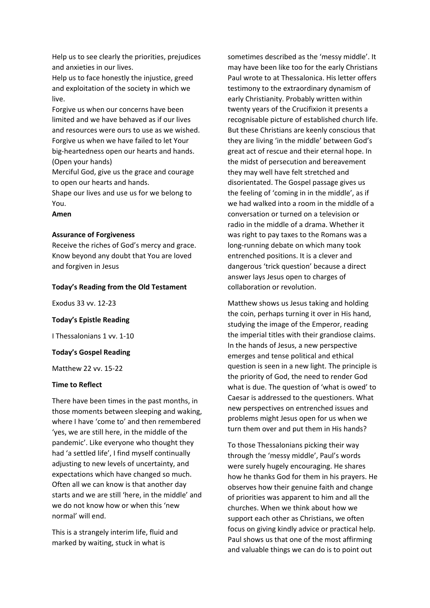Help us to see clearly the priorities, prejudices and anxieties in our lives.

Help us to face honestly the injustice, greed and exploitation of the society in which we live.

Forgive us when our concerns have been limited and we have behaved as if our lives and resources were ours to use as we wished. Forgive us when we have failed to let Your big-heartedness open our hearts and hands. (Open your hands)

Merciful God, give us the grace and courage to open our hearts and hands.

Shape our lives and use us for we belong to You.

**Amen**

# **Assurance of Forgiveness**

Receive the riches of God's mercy and grace. Know beyond any doubt that You are loved and forgiven in Jesus

### **Today's Reading from the Old Testament**

Exodus 33 vv. 12-23

# **Today's Epistle Reading**

I Thessalonians 1 vv. 1-10

### **Today's Gospel Reading**

Matthew 22 vv. 15-22

## **Time to Reflect**

There have been times in the past months, in those moments between sleeping and waking, where I have 'come to' and then remembered 'yes, we are still here, in the middle of the pandemic'. Like everyone who thought they had 'a settled life', I find myself continually adjusting to new levels of uncertainty, and expectations which have changed so much. Often all we can know is that another day starts and we are still 'here, in the middle' and we do not know how or when this 'new normal' will end.

This is a strangely interim life, fluid and marked by waiting, stuck in what is

sometimes described as the 'messy middle'. It may have been like too for the early Christians Paul wrote to at Thessalonica. His letter offers testimony to the extraordinary dynamism of early Christianity. Probably written within twenty years of the Crucifixion it presents a recognisable picture of established church life. But these Christians are keenly conscious that they are living 'in the middle' between God's great act of rescue and their eternal hope. In the midst of persecution and bereavement they may well have felt stretched and disorientated. The Gospel passage gives us the feeling of 'coming in in the middle', as if we had walked into a room in the middle of a conversation or turned on a television or radio in the middle of a drama. Whether it was right to pay taxes to the Romans was a long-running debate on which many took entrenched positions. It is a clever and dangerous 'trick question' because a direct answer lays Jesus open to charges of collaboration or revolution.

Matthew shows us Jesus taking and holding the coin, perhaps turning it over in His hand, studying the image of the Emperor, reading the imperial titles with their grandiose claims. In the hands of Jesus, a new perspective emerges and tense political and ethical question is seen in a new light. The principle is the priority of God, the need to render God what is due. The question of 'what is owed' to Caesar is addressed to the questioners. What new perspectives on entrenched issues and problems might Jesus open for us when we turn them over and put them in His hands?

To those Thessalonians picking their way through the 'messy middle', Paul's words were surely hugely encouraging. He shares how he thanks God for them in his prayers. He observes how their genuine faith and change of priorities was apparent to him and all the churches. When we think about how we support each other as Christians, we often focus on giving kindly advice or practical help. Paul shows us that one of the most affirming and valuable things we can do is to point out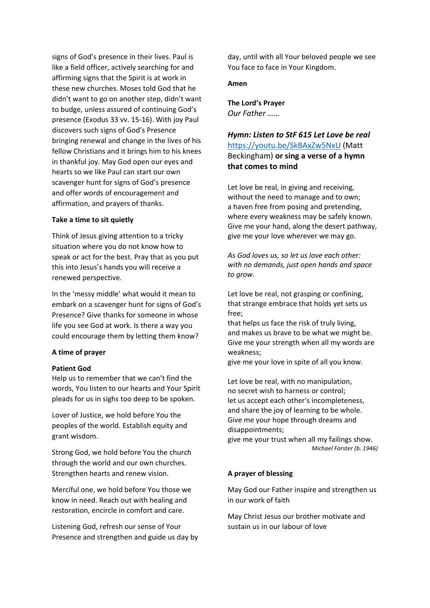signs of God's presence in their lives. Paul is like a field officer, actively searching for and affirming signs that the Spirit is at work in these new churches. Moses told God that he didn't want to go on another step, didn't want to budge, unless assured of continuing God's presence (Exodus 33 vv. 15-16). With joy Paul discovers such signs of God's Presence bringing renewal and change in the lives of his fellow Christians and it brings him to his knees in thankful joy. May God open our eyes and hearts so we like Paul can start our own scavenger hunt for signs of God's presence and offer words of encouragement and affirmation, and prayers of thanks.

## **Take a time to sit quietly**

Think of Jesus giving attention to a tricky situation where you do not know how to speak or act for the best. Pray that as you put this into Jesus's hands you will receive a renewed perspective.

In the 'messy middle' what would it mean to embark on a scavenger hunt for signs of God's Presence? Give thanks for someone in whose life you see God at work. Is there a way you could encourage them by letting them know?

# **A time of prayer**

## **Patient God**

Help us to remember that we can't find the words, You listen to our hearts and Your Spirit pleads for us in sighs too deep to be spoken.

Lover of Justice, we hold before You the peoples of the world. Establish equity and grant wisdom.

Strong God, we hold before You the church through the world and our own churches. Strengthen hearts and renew vision.

Merciful one, we hold before You those we know in need. Reach out with healing and restoration, encircle in comfort and care.

Listening God, refresh our sense of Your Presence and strengthen and guide us day by

day, until with all Your beloved people we see You face to face in Your Kingdom.

# **Amen**

**The Lord's Prayer** *Our Father ……*

*Hymn: Listen to StF 615 Let Love be real*  <https://youtu.be/SkBAxZw5NxU> (Matt Beckingham) **or sing a verse of a hymn that comes to mind**

Let love be real, in giving and receiving, without the need to manage and to own; a haven free from posing and pretending, where every weakness may be safely known. Give me your hand, along the desert pathway, give me your love wherever we may go.

*As God loves us, so let us love each other: with no demands, just open hands and space to grow.*

Let love be real, not grasping or confining, that strange embrace that holds yet sets us free;

that helps us face the risk of truly living, and makes us brave to be what we might be. Give me your strength when all my words are weakness;

give me your love in spite of all you know.

Let love be real, with no manipulation, no secret wish to harness or control; let us accept each other's incompleteness, and share the joy of learning to be whole. Give me your hope through dreams and disappointments;

give me your trust when all my failings show. *Michael Forster (b. 1946)*

## **A prayer of blessing**

May God our Father inspire and strengthen us in our work of faith

May Christ Jesus our brother motivate and sustain us in our labour of love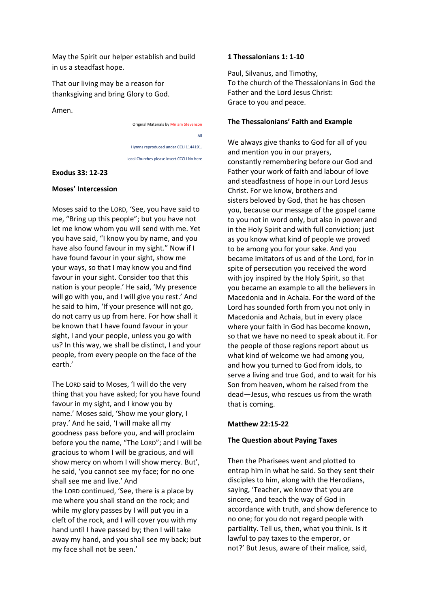May the Spirit our helper establish and build in us a steadfast hope.

That our living may be a reason for thanksgiving and bring Glory to God.

Amen.

Original Materials by Miriam Stevenson All Hymns reproduced under CCLi 1144191. Local Churches please insert CCCLi No here

## **Exodus 33: 12-23**

### **Moses' Intercession**

Moses said to the LORD, 'See, you have said to me, "Bring up this people"; but you have not let me know whom you will send with me. Yet you have said, "I know you by name, and you have also found favour in my sight." Now if I have found favour in your sight, show me your ways, so that I may know you and find favour in your sight. Consider too that this nation is your people.' He said, 'My presence will go with you, and I will give you rest.' And he said to him, 'If your presence will not go, do not carry us up from here. For how shall it be known that I have found favour in your sight, I and your people, unless you go with us? In this way, we shall be distinct, I and your people, from every people on the face of the earth.'

The LORD said to Moses, 'I will do the very thing that you have asked; for you have found favour in my sight, and I know you by name.' Moses said, 'Show me your glory, I pray.' And he said, 'I will make all my goodness pass before you, and will proclaim before you the name, "The LORD"; and I will be gracious to whom I will be gracious, and will show mercy on whom I will show mercy. But', he said, 'you cannot see my face; for no one shall see me and live.' And the LORD continued, 'See, there is a place by me where you shall stand on the rock; and while my glory passes by I will put you in a cleft of the rock, and I will cover you with my hand until I have passed by; then I will take away my hand, and you shall see my back; but my face shall not be seen.'

### **1 Thessalonians 1: 1-10**

Paul, Silvanus, and Timothy, To the church of the Thessalonians in God the Father and the Lord Jesus Christ: Grace to you and peace.

### **The Thessalonians' Faith and Example**

We always give thanks to God for all of you and mention you in our prayers, constantly remembering before our God and Father your work of faith and labour of love and steadfastness of hope in our Lord Jesus Christ. For we know, brothers and sisters beloved by God, that he has chosen you, because our message of the gospel came to you not in word only, but also in power and in the Holy Spirit and with full conviction; just as you know what kind of people we proved to be among you for your sake. And you became imitators of us and of the Lord, for in spite of persecution you received the word with joy inspired by the Holy Spirit, so that you became an example to all the believers in Macedonia and in Achaia. For the word of the Lord has sounded forth from you not only in Macedonia and Achaia, but in every place where your faith in God has become known, so that we have no need to speak about it. For the people of those regions report about us what kind of welcome we had among you, and how you turned to God from idols, to serve a living and true God, and to wait for his Son from heaven, whom he raised from the dead—Jesus, who rescues us from the wrath that is coming.

## **Matthew 22:15-22**

## **The Question about Paying Taxes**

Then the Pharisees went and plotted to entrap him in what he said. So they sent their disciples to him, along with the Herodians, saying, 'Teacher, we know that you are sincere, and teach the way of God in accordance with truth, and show deference to no one; for you do not regard people with partiality. Tell us, then, what you think. Is it lawful to pay taxes to the emperor, or not?' But Jesus, aware of their malice, said,